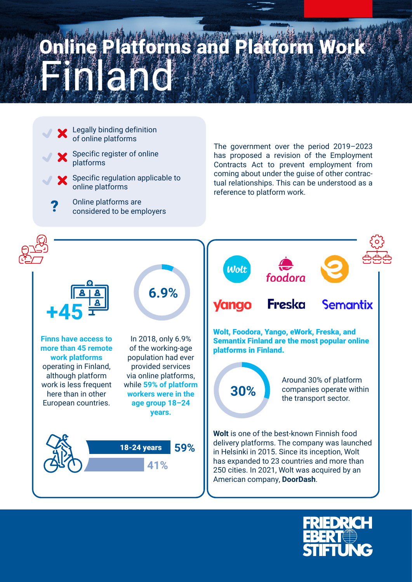## Finland Sand Platform